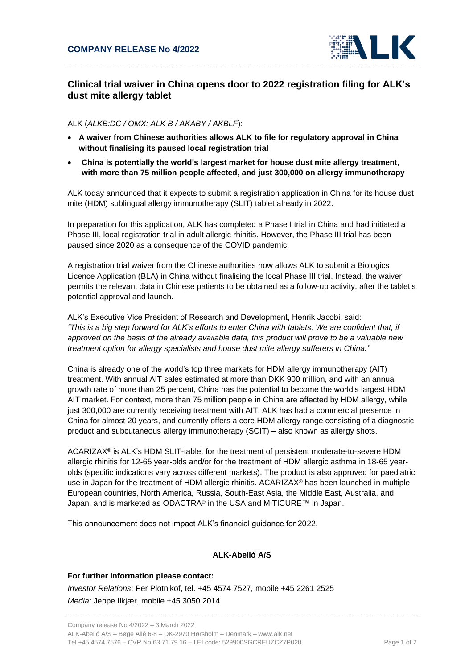

## **Clinical trial waiver in China opens door to 2022 registration filing for ALK's dust mite allergy tablet**

## ALK (*ALKB:DC / OMX: ALK B / AKABY / AKBLF*):

- **A waiver from Chinese authorities allows ALK to file for regulatory approval in China without finalising its paused local registration trial**
- **China is potentially the world's largest market for house dust mite allergy treatment, with more than 75 million people affected, and just 300,000 on allergy immunotherapy**

ALK today announced that it expects to submit a registration application in China for its house dust mite (HDM) sublingual allergy immunotherapy (SLIT) tablet already in 2022.

In preparation for this application, ALK has completed a Phase I trial in China and had initiated a Phase III, local registration trial in adult allergic rhinitis. However, the Phase III trial has been paused since 2020 as a consequence of the COVID pandemic.

A registration trial waiver from the Chinese authorities now allows ALK to submit a Biologics Licence Application (BLA) in China without finalising the local Phase III trial. Instead, the waiver permits the relevant data in Chinese patients to be obtained as a follow-up activity, after the tablet's potential approval and launch.

ALK's Executive Vice President of Research and Development, Henrik Jacobi, said: *"This is a big step forward for ALK's efforts to enter China with tablets. We are confident that, if approved on the basis of the already available data, this product will prove to be a valuable new treatment option for allergy specialists and house dust mite allergy sufferers in China."*

China is already one of the world's top three markets for HDM allergy immunotherapy (AIT) treatment. With annual AIT sales estimated at more than DKK 900 million, and with an annual growth rate of more than 25 percent, China has the potential to become the world's largest HDM AIT market. For context, more than 75 million people in China are affected by HDM allergy, while just 300,000 are currently receiving treatment with AIT. ALK has had a commercial presence in China for almost 20 years, and currently offers a core HDM allergy range consisting of a diagnostic product and subcutaneous allergy immunotherapy (SCIT) – also known as allergy shots.

ACARIZAX® is ALK's HDM SLIT-tablet for the treatment of persistent moderate-to-severe HDM allergic rhinitis for 12-65 year-olds and/or for the treatment of HDM allergic asthma in 18-65 yearolds (specific indications vary across different markets). The product is also approved for paediatric use in Japan for the treatment of HDM allergic rhinitis. ACARIZAX® has been launched in multiple European countries, North America, Russia, South-East Asia, the Middle East, Australia, and Japan, and is marketed as ODACTRA® in the USA and MITICURE™ in Japan.

This announcement does not impact ALK's financial guidance for 2022.

## **ALK-Abelló A/S**

**For further information please contact:** *Investor Relations*: Per Plotnikof, tel. +45 4574 7527, mobile +45 2261 2525 *Media:* Jeppe Ilkjær, mobile +45 3050 2014